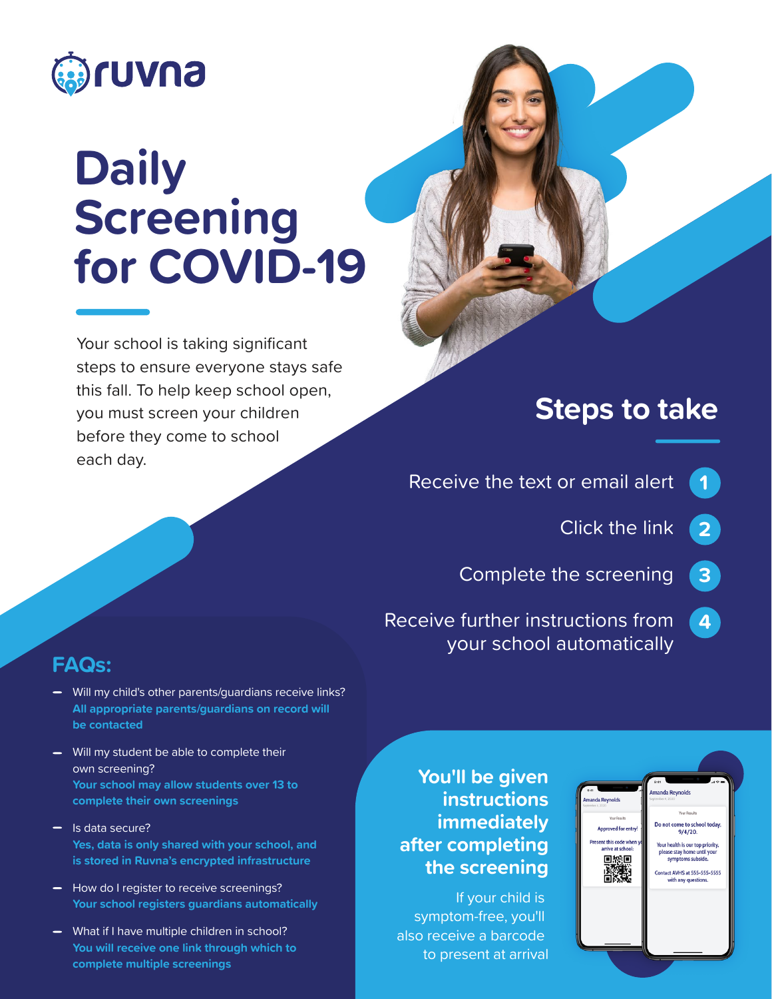

# **Daily Screening for COVID-19**

Your school is taking significant steps to ensure everyone stays safe this fall. To help keep school open, you must screen your children before they come to school each day.

# **Steps to take**

Receive the text or email alert **1**

> Click the link **2**

Complete the screening **3**

Receive further instructions from your school automatically **4**

### **FAQs:**

- Will my child's other parents/guardians receive links? **All appropriate parents/guardians on record will be contacted**
- Will my student be able to complete their own screening? **Your school may allow students over 13 to complete their own screenings**
- $\equiv$  Is data secure? **Yes, data is only shared with your school, and is stored in Ruvna's encrypted infrastructure**
- How do I register to receive screenings? **Your school registers guardians automatically**
- What if I have multiple children in school? **You will receive one link through which to complete multiple screenings**

### **You'll be given instructions immediately after completing the screening**

If your child is symptom-free, you'll also receive a barcode to present at arrival

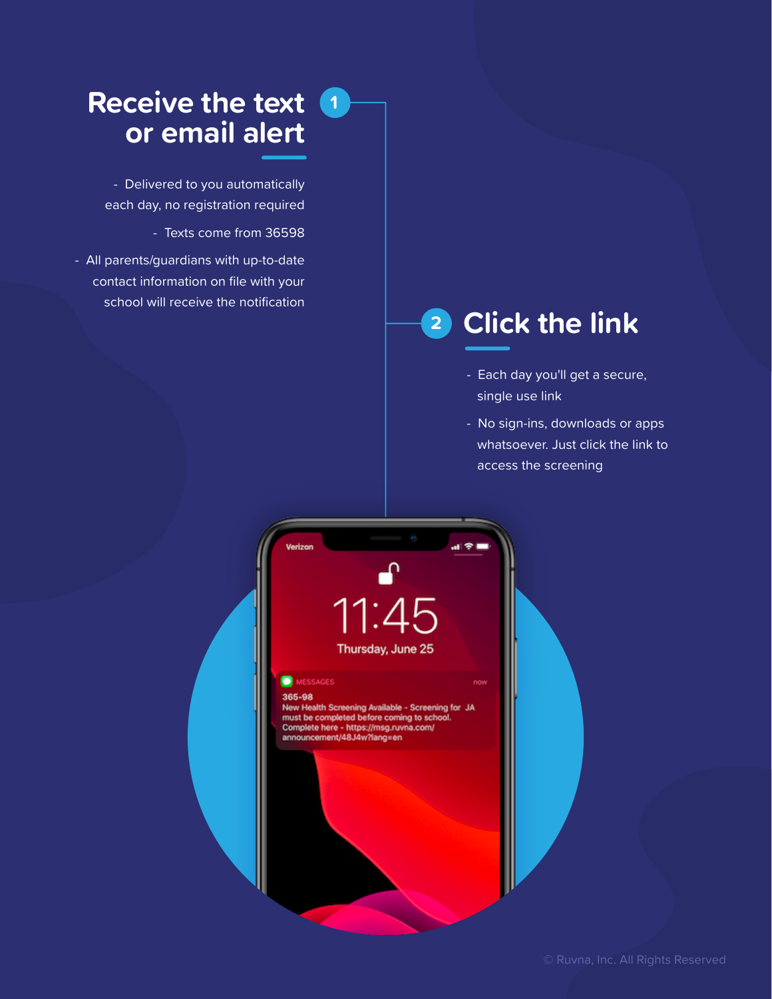### **Receive the text <sup>1</sup> or email alert**

- Delivered to you automatically each day, no registration required

- Texts come from 36598

- All parents/guardians with up-to-date contact information on file with your school will receive the notification

# **<sup>2</sup> Click the link**

- Each day you'll get a secure, single use link
- No sign-ins, downloads or apps whatsoever. Just click the link to access the screening



#### 365-98

Sou-so<br>New Health Screening Available - Screening for JA<br>must be completed before coming to school.<br>Complete here - https://msg.ruvna.com/<br>announcement/48J4w?lang=en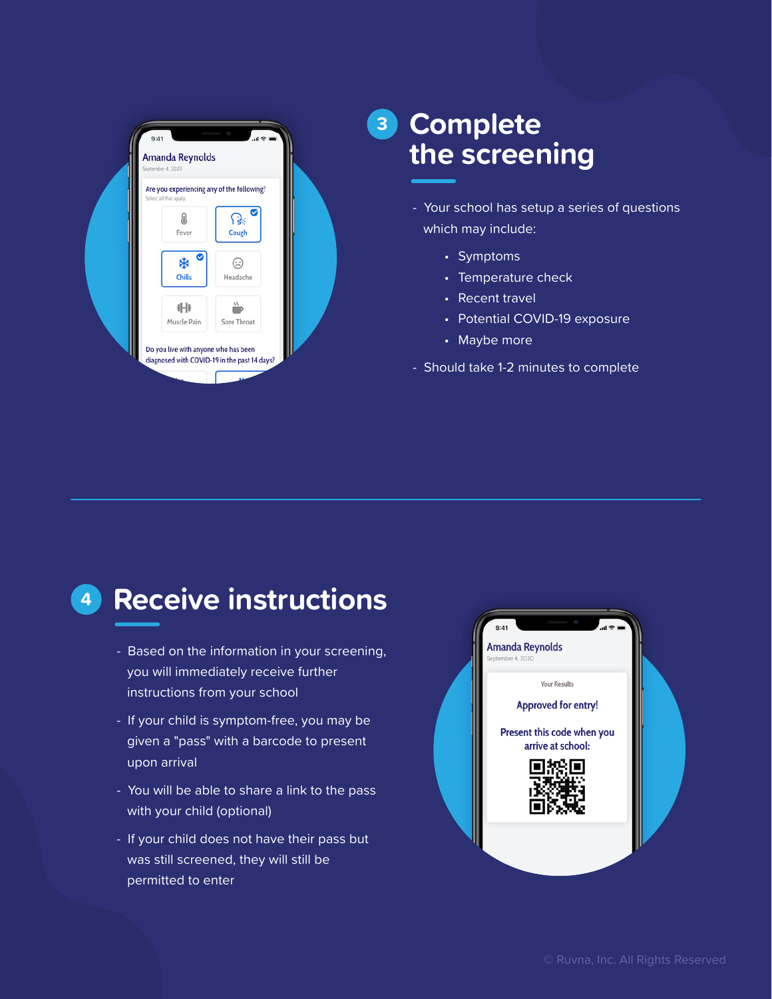

### **<sup>3</sup> Complete the screening**

- Your school has setup a series of questions which may include:
	- Symptoms
	- Temperature check
	- Recent travel
	- Potential COVID-19 exposure
	- Maybe more
- Should take 1-2 minutes to complete

# **<sup>4</sup> Receive instructions**

- Based on the information in your screening, you will immediately receive further instructions from your school
- If your child is symptom-free, you may be given a "pass" with a barcode to present upon arrival
- You will be able to share a link to the pass with your child (optional)
- If your child does not have their pass but was still screened, they will still be permitted to enter